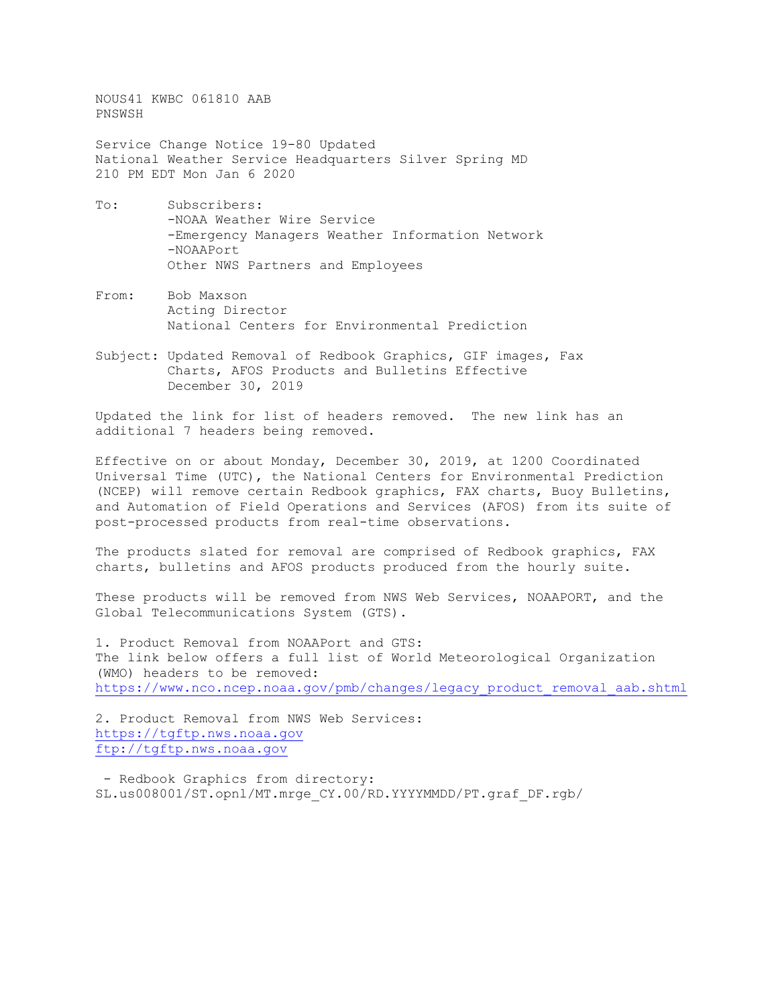NOUS41 KWBC 061810 AAB PNSWSH

Service Change Notice 19-80 Updated National Weather Service Headquarters Silver Spring MD 210 PM EDT Mon Jan 6 2020

- To: Subscribers: -NOAA Weather Wire Service -Emergency Managers Weather Information Network -NOAAPort Other NWS Partners and Employees
- From: Bob Maxson Acting Director National Centers for Environmental Prediction
- Subject: Updated Removal of Redbook Graphics, GIF images, Fax Charts, AFOS Products and Bulletins Effective December 30, 2019

Updated the link for list of headers removed. The new link has an additional 7 headers being removed.

Effective on or about Monday, December 30, 2019, at 1200 Coordinated Universal Time (UTC), the National Centers for Environmental Prediction (NCEP) will remove certain Redbook graphics, FAX charts, Buoy Bulletins, and Automation of Field Operations and Services (AFOS) from its suite of post-processed products from real-time observations.

The products slated for removal are comprised of Redbook graphics, FAX charts, bulletins and AFOS products produced from the hourly suite.

These products will be removed from NWS Web Services, NOAAPORT, and the Global Telecommunications System (GTS).

1. Product Removal from NOAAPort and GTS: The link below offers a full list of World Meteorological Organization (WMO) headers to be removed: [https://www.nco.ncep.noaa.gov/pmb/changes/legacy\\_product\\_removal\\_aab.shtml](https://www.nco.ncep.noaa.gov/pmb/changes/legacy_product_removal_aab.shtml)

2. Product Removal from NWS Web Services: [https://tgftp.nws.noaa.gov](https://tgftp.nws.noaa.gov/) [ftp://tgftp.nws.noaa.gov](ftp://tgftp.nws.noaa.gov/)

- Redbook Graphics from directory: SL.us008001/ST.opnl/MT.mrge\_CY.00/RD.YYYYMMDD/PT.graf\_DF.rgb/